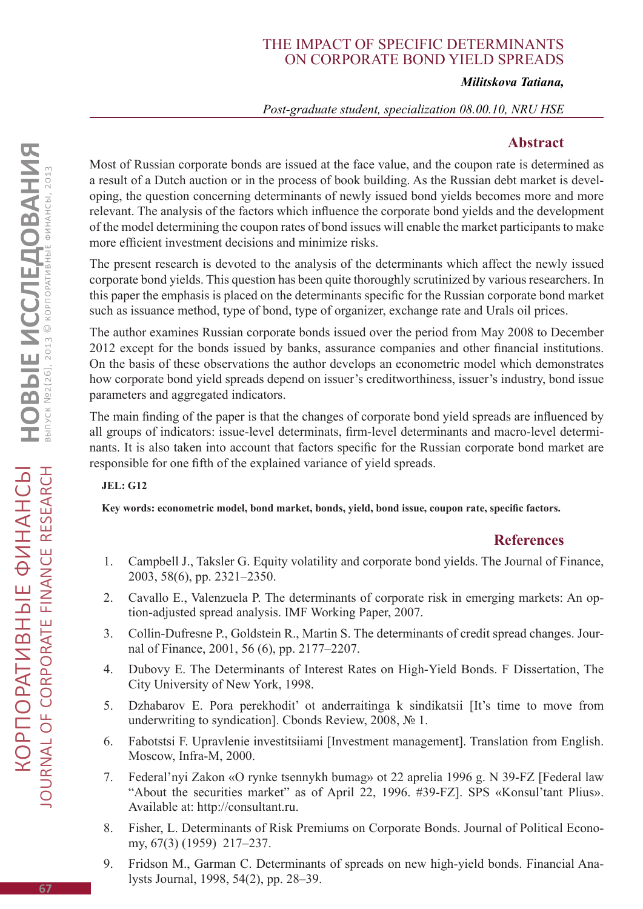# The impact of specific determinants on corporate bond yield spreads

#### *Militskova Tatiana,*

#### *Post-graduate student, specialization 08.00.10, NRU HSE*

### **Abstract**

Most of Russian corporate bonds are issued at the face value, and the coupon rate is determined as a result of a Dutch auction or in the process of book building. As the Russian debt market is developing, the question concerning determinants of newly issued bond yields becomes more and more relevant. The analysis of the factors which influence the corporate bond yields and the development of the model determining the coupon rates of bond issues will enable the market participants to make more efficient investment decisions and minimize risks.

The present research is devoted to the analysis of the determinants which affect the newly issued corporate bond yields. This question has been quite thoroughly scrutinized by various researchers. In this paper the emphasis is placed on the determinants specific for the Russian corporate bond market such as issuance method, type of bond, type of organizer, exchange rate and Urals oil prices.

The author examines Russian corporate bonds issued over the period from May 2008 to December 2012 except for the bonds issued by banks, assurance companies and other financial institutions. On the basis of these observations the author develops an econometric model which demonstrates how corporate bond yield spreads depend on issuer's creditworthiness, issuer's industry, bond issue parameters and aggregated indicators.

The main finding of the paper is that the changes of corporate bond yield spreads are influenced by all groups of indicators: issue-level determinats, firm-level determinants and macro-level determinants. It is also taken into account that factors specific for the Russian corporate bond market are responsible for one fifth of the explained variance of yield spreads.

#### **JEL: G12**

**Key words: econometric model, bond market, bonds, yield, bond issue, coupon rate, specific factors.**

## **References**

- 1. Campbell J., Taksler G. Equity volatility and corporate bond yields. The Journal of Finance, 2003, 58(6), pp. 2321–2350.
- 2. Cavallo E., Valenzuela P. The determinants of corporate risk in emerging markets: An option-adjusted spread analysis. IMF Working Paper, 2007.
- 3. Collin-Dufresne P., Goldstein R., Martin S. The determinants of credit spread changes. Journal of Finance, 2001, 56 (6), pp. 2177–2207.
- 4. Dubovy E. The Determinants of Interest Rates on High-Yield Bonds. F Dissertation, The City University of New York, 1998.
- 5. Dzhabarov E. Pora perekhodit' ot anderraitinga k sindikatsii [It's time to move from underwriting to syndication]. Cbonds Review, 2008, № 1.
- 6. Fabotstsi F. Upravlenie investitsiiami [Investment management]. Translation from English. Moscow, Infra-M, 2000.
- 7. Federal'nyi Zakon «O rynke tsennykh bumag» ot 22 aprelia 1996 g. N 39-FZ [Federal law "About the securities market" as of April 22, 1996. #39-FZ]. SPS «Konsul'tant Plius». Available at: http://consultant.ru.
- 8. Fisher, L. Determinants of Risk Premiums on Corporate Bonds. Journal of Political Economy, 67(3) (1959) 217–237.
- 9. Fridson M., Garman C. Determinants of spreads on new high-yield bonds. Financial Analysts Journal, 1998, 54(2), pp. 28–39.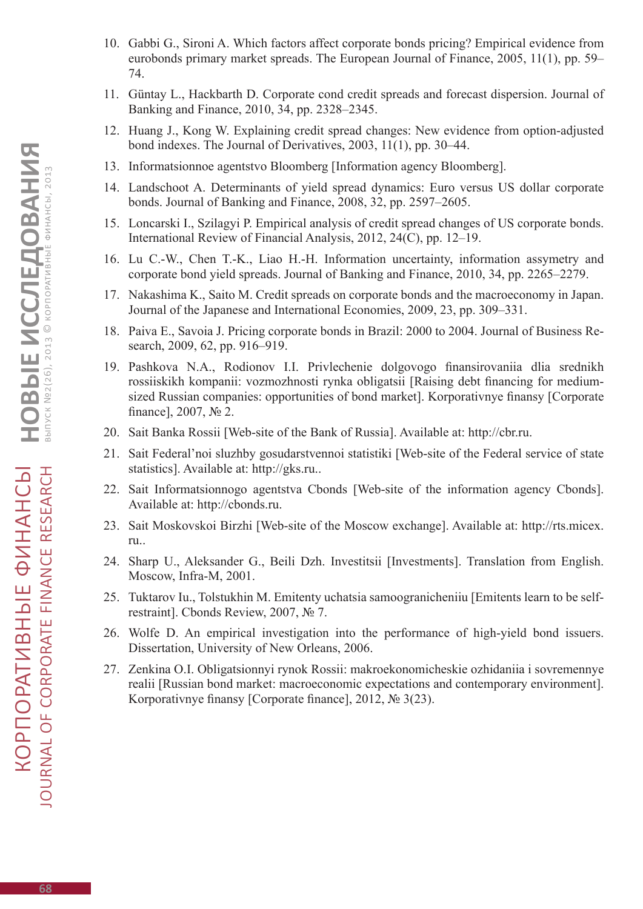- 10. Gabbi G., Sironi A. Which factors affect corporate bonds pricing? Empirical evidence from eurobonds primary market spreads. The European Journal of Finance, 2005, 11(1), pp. 59– 74.
- 11. Güntay L., Hackbarth D. Corporate cond credit spreads and forecast dispersion. Journal of Banking and Finance, 2010, 34, pp. 2328–2345.
- 12. Huang J., Kong W. Explaining credit spread changes: New evidence from option-adjusted bond indexes. The Journal of Derivatives, 2003, 11(1), pp. 30–44.
- 13. Informatsionnoe agentstvo Bloomberg [Information agency Bloomberg].
- 14. Landschoot A. Determinants of yield spread dynamics: Euro versus US dollar corporate bonds. Journal of Banking and Finance, 2008, 32, pp. 2597–2605.
- 15. Loncarski I., Szilagyi P. Empirical analysis of credit spread changes of US corporate bonds. International Review of Financial Analysis, 2012, 24(C), pp. 12–19.
- 16. Lu C.-W., Chen T.-K., Liao H.-H. Information uncertainty, information assymetry and corporate bond yield spreads. Journal of Banking and Finance, 2010, 34, pp. 2265–2279.
- 17. Nakashima K., Saito M. Credit spreads on corporate bonds and the macroeconomy in Japan. Journal of the Japanese and International Economies, 2009, 23, pp. 309–331.
- 18. Paiva E., Savoia J. Pricing corporate bonds in Brazil: 2000 to 2004. Journal of Business Research, 2009, 62, pp. 916–919.
- 19. Pashkova N.A., Rodionov I.I. Privlechenie dolgovogo finansirovaniia dlia srednikh rossiiskikh kompanii: vozmozhnosti rynka obligatsii [Raising debt financing for mediumsized Russian companies: opportunities of bond market]. Korporativnye finansy [Corporate finance], 2007, № 2.
- 20. Sait Banka Rossii [Web-site of the Bank of Russia]. Available at: http://cbr.ru.
- 21. Sait Federal'noi sluzhby gosudarstvennoi statistiki [Web-site of the Federal service of state statistics]. Available at: http://gks.ru..
- 22. Sait Informatsionnogo agentstva Cbonds [Web-site of the information agency Cbonds]. Available at: http://cbonds.ru.
- 23. Sait Moskovskoi Birzhi [Web-site of the Moscow exchange]. Available at: http://rts.micex. ru..
- 24. Sharp U., Aleksander G., Beili Dzh. Investitsii [Investments]. Translation from English. Moscow, Infra-M, 2001.
- 25. Tuktarov Iu., Tolstukhin M. Emitenty uchatsia samoogranicheniiu [Emitents learn to be selfrestraint]. Cbonds Review, 2007, № 7.
- 26. Wolfe D. An empirical investigation into the performance of high-yield bond issuers. Dissertation, University of New Orleans, 2006.
- 27. Zenkina O.I. Obligatsionnyi rynok Rossii: makroekonomicheskie ozhidaniia i sovremennye realii [Russian bond market: macroeconomic expectations and contemporary environment]. Korporativnye finansy [Corporate finance], 2012, № 3(23).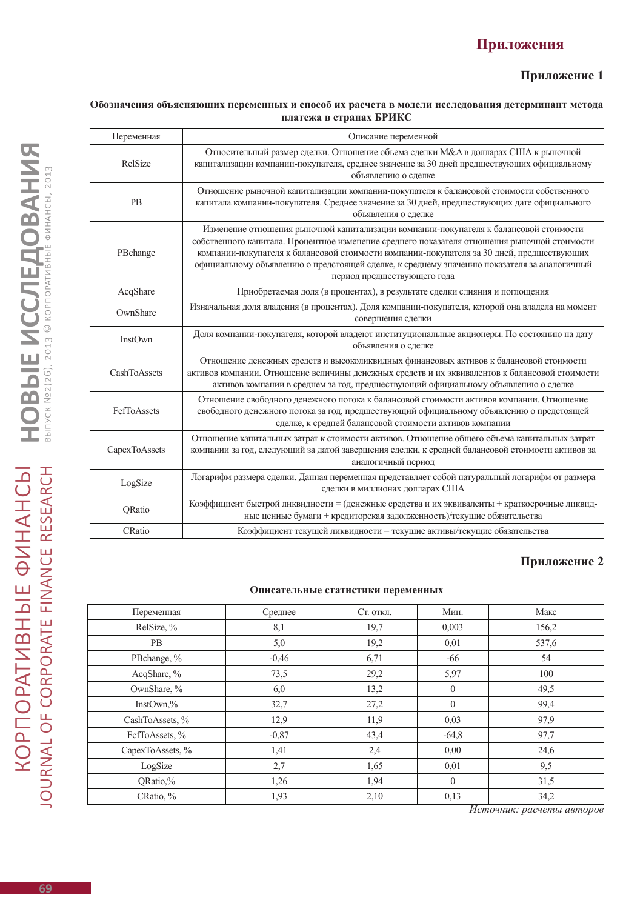# **Приложения**

#### **Приложение 1**

#### **Обозначения объясняющих переменных и способ их расчета в модели исследования детерминант метода платежа в странах БРИКС**

| Переменная    | Описание переменной                                                                                                                                                                                                                                                                                                                                                                                              |
|---------------|------------------------------------------------------------------------------------------------------------------------------------------------------------------------------------------------------------------------------------------------------------------------------------------------------------------------------------------------------------------------------------------------------------------|
| RelSize       | Относительный размер сделки. Отношение объема сделки М&А в долларах США к рыночной<br>капитализации компании-покупателя, среднее значение за 30 дней предшествующих официальному<br>объявлению о сделке                                                                                                                                                                                                          |
| <b>PB</b>     | Отношение рыночной капитализации компании-покупателя к балансовой стоимости собственного<br>капитала компании-покупателя. Среднее значение за 30 дней, предшествующих дате официального<br>объявления о сделке                                                                                                                                                                                                   |
| PBchange      | Изменение отношения рыночной капитализации компании-покупателя к балансовой стоимости<br>собственного капитала. Процентное изменение среднего показателя отношения рыночной стоимости<br>компании-покупателя к балансовой стоимости компании-покупателя за 30 дней, предшествующих<br>официальному объявлению о предстоящей сделке, к среднему значению показателя за аналогичный<br>период предшествующего года |
| AcqShare      | Приобретаемая доля (в процентах), в результате сделки слияния и поглощения                                                                                                                                                                                                                                                                                                                                       |
| OwnShare      | Изначальная доля владения (в процентах). Доля компании-покупателя, которой она владела на момент<br>совершения сделки                                                                                                                                                                                                                                                                                            |
| InstOwn       | Доля компании-покупателя, которой владеют институциональные акционеры. По состоянию на дату<br>объявления о сделке                                                                                                                                                                                                                                                                                               |
| CashToAssets  | Отношение денежных средств и высоколиквидных финансовых активов к балансовой стоимости<br>активов компании. Отношение величины денежных средств и их эквивалентов к балансовой стоимости<br>активов компании в среднем за год, предшествующий официальному объявлению о сделке                                                                                                                                   |
| FcfToAssets   | Отношение свободного денежного потока к балансовой стоимости активов компании. Отношение<br>свободного денежного потока за год, предшествующий официальному объявлению о предстоящей<br>сделке, к средней балансовой стоимости активов компании                                                                                                                                                                  |
| CapexToAssets | Отношение капитальных затрат к стоимости активов. Отношение общего объема капитальных затрат<br>компании за год, следующий за датой завершения сделки, к средней балансовой стоимости активов за<br>аналогичный период                                                                                                                                                                                           |
| LogSize       | Логарифм размера сделки. Данная переменная представляет собой натуральный логарифм от размера<br>сделки в миллионах долларах США                                                                                                                                                                                                                                                                                 |
| QRatio        | Коэффициент быстрой ликвидности = (денежные средства и их эквиваленты + краткосрочные ликвид-<br>ные ценные бумаги + кредиторская задолженность)/текущие обязательства                                                                                                                                                                                                                                           |
| CRatio        | Коэффициент текущей ликвидности = текущие активы/текущие обязательства                                                                                                                                                                                                                                                                                                                                           |

#### **Приложение 2**

#### **Описательные статистики переменных**

| Переменная       | Среднее | Ст. откл. | Мин.         | Макс  |
|------------------|---------|-----------|--------------|-------|
| RelSize, %       | 8,1     | 19,7      | 0,003        | 156,2 |
| <b>PB</b>        | 5,0     | 19,2      | 0,01         | 537,6 |
| PBchange, %      | $-0.46$ | 6,71      | -66          | 54    |
| AcqShare, %      | 73,5    | 29,2      | 5,97         | 100   |
| OwnShare, %      | 6,0     | 13,2      | $\theta$     | 49,5  |
| InstOwn, $\%$    | 32,7    | 27,2      | $\theta$     | 99,4  |
| CashToAssets, %  | 12,9    | 11,9      | 0,03         | 97,9  |
| FefToAssets, %   | $-0,87$ | 43,4      | $-64,8$      | 97,7  |
| CapexToAssets, % | 1,41    | 2,4       | 0,00         | 24,6  |
| LogSize          | 2,7     | 1,65      | 0,01         | 9,5   |
| QRatio,%         | 1,26    | 1,94      | $\Omega$     | 31,5  |
| CRatio, %        | 1,93    | 2,10      | 0,13<br>$ -$ | 34,2  |

*Источник: расчеты авторов*